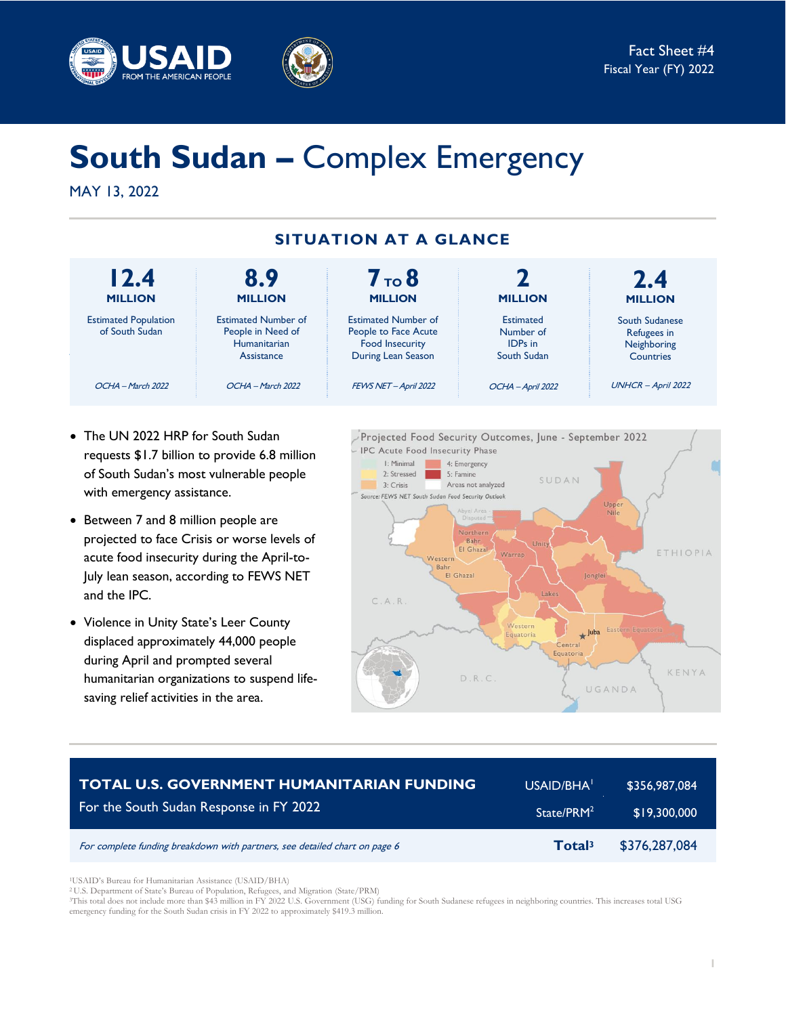



# **South Sudan –** Complex Emergency

MAY 13, 2022



- The UN 2022 HRP for South Sudan requests \$1.7 billion to provide 6.8 million of South Sudan's most vulnerable people with emergency assistance.
- Between 7 and 8 million people are projected to face Crisis or worse levels of acute food insecurity during the April-to-July lean season, according to FEWS NET and the IPC.
- Violence in Unity State's Leer County displaced approximately 44,000 people during April and prompted several humanitarian organizations to suspend lifesaving relief activities in the area.



| <b>TOTAL U.S. GOVERNMENT HUMANITARIAN FUNDING</b>                          | USAID/BHA <sup>1</sup> | ¦ \$356,987,084 <sup>∣</sup> |
|----------------------------------------------------------------------------|------------------------|------------------------------|
| For the South Sudan Response in FY 2022                                    | State/PRM <sup>2</sup> | \$19,300,000                 |
| For complete funding breakdown with partners, see detailed chart on page 6 | Total <sup>3</sup>     | \$376,287,084                |

<sup>1</sup>USAID's Bureau for Humanitarian Assistance (USAID/BHA)

<sup>2</sup> U.S. Department of State's Bureau of Population, Refugees, and Migration (State/PRM)

<sup>3</sup>This total does not include more than \$43 million in FY 2022 U.S. Government (USG) funding for South Sudanese refugees in neighboring countries. This increases total USG emergency funding for the South Sudan crisis in FY 2022 to approximately \$419.3 million.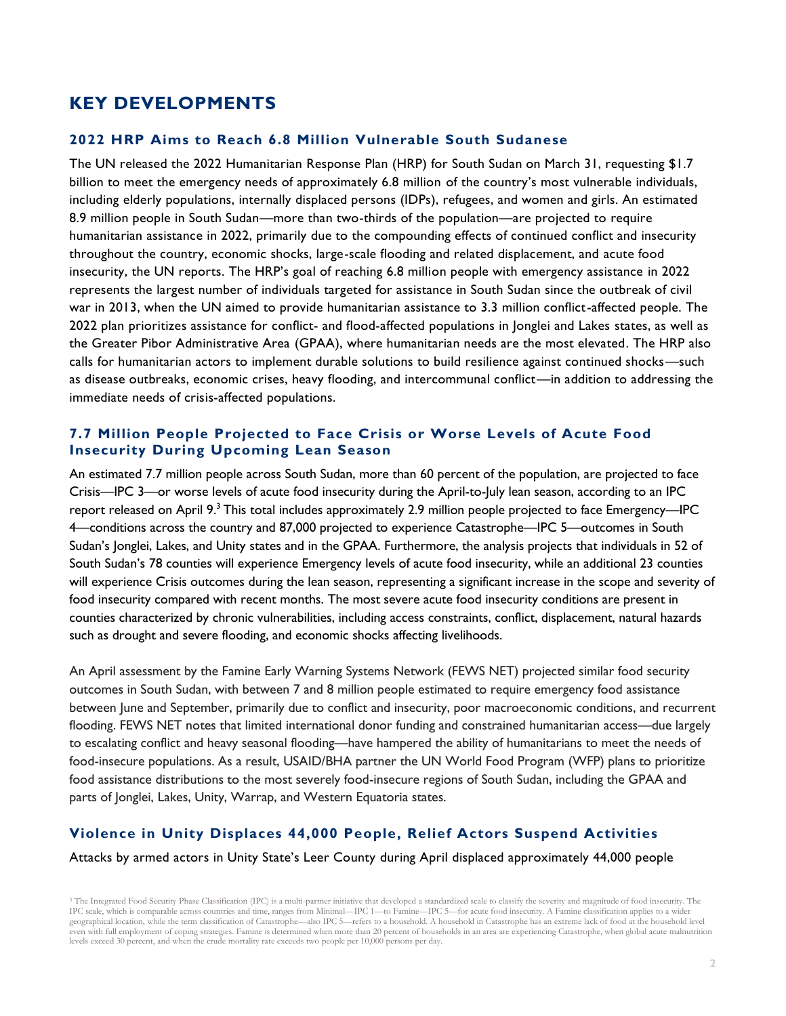# **KEY DEVELOPMENTS**

#### **2022 HRP Aims to Reach 6.8 Million Vulnerable South Sudanese**

The UN released the 2022 Humanitarian Response Plan (HRP) for South Sudan on March 31, requesting \$1.7 billion to meet the emergency needs of approximately 6.8 million of the country's most vulnerable individuals, including elderly populations, internally displaced persons (IDPs), refugees, and women and girls. An estimated 8.9 million people in South Sudan—more than two-thirds of the population—are projected to require humanitarian assistance in 2022, primarily due to the compounding effects of continued conflict and insecurity throughout the country, economic shocks, large-scale flooding and related displacement, and acute food insecurity, the UN reports. The HRP's goal of reaching 6.8 million people with emergency assistance in 2022 represents the largest number of individuals targeted for assistance in South Sudan since the outbreak of civil war in 2013, when the UN aimed to provide humanitarian assistance to 3.3 million conflict-affected people. The 2022 plan prioritizes assistance for conflict- and flood-affected populations in Jonglei and Lakes states, as well as the Greater Pibor Administrative Area (GPAA), where humanitarian needs are the most elevated. The HRP also calls for humanitarian actors to implement durable solutions to build resilience against continued shocks—such as disease outbreaks, economic crises, heavy flooding, and intercommunal conflict—in addition to addressing the immediate needs of crisis-affected populations.

# **7.7 Million People Projected to Face Crisis or Worse Levels of Acute Food Insecurity During Upcoming Lean Season**

An estimated 7.7 million people across South Sudan, more than 60 percent of the population, are projected to face Crisis—IPC 3—or worse levels of acute food insecurity during the April-to-July lean season, according to an IPC report released on April 9.<sup>3</sup> This total includes approximately 2.9 million people projected to face Emergency—IPC 4—conditions across the country and 87,000 projected to experience Catastrophe—IPC 5—outcomes in South Sudan's Jonglei, Lakes, and Unity states and in the GPAA. Furthermore, the analysis projects that individuals in 52 of South Sudan's 78 counties will experience Emergency levels of acute food insecurity, while an additional 23 counties will experience Crisis outcomes during the lean season, representing a significant increase in the scope and severity of food insecurity compared with recent months. The most severe acute food insecurity conditions are present in counties characterized by chronic vulnerabilities, including access constraints, conflict, displacement, natural hazards such as drought and severe flooding, and economic shocks affecting livelihoods.

An April assessment by the Famine Early Warning Systems Network (FEWS NET) projected similar food security outcomes in South Sudan, with between 7 and 8 million people estimated to require emergency food assistance between June and September, primarily due to conflict and insecurity, poor macroeconomic conditions, and recurrent flooding. FEWS NET notes that limited international donor funding and constrained humanitarian access—due largely to escalating conflict and heavy seasonal flooding—have hampered the ability of humanitarians to meet the needs of food-insecure populations. As a result, USAID/BHA partner the UN World Food Program (WFP) plans to prioritize food assistance distributions to the most severely food-insecure regions of South Sudan, including the GPAA and parts of Jonglei, Lakes, Unity, Warrap, and Western Equatoria states.

# **Violence in Unity Displaces 44,000 People, Relief Actors Suspend Activities**

#### Attacks by armed actors in Unity State's Leer County during April displaced approximately 44,000 people

<sup>3</sup> The Integrated Food Security Phase Classification (IPC) is a multi-partner initiative that developed a standardized scale to classify the severity and magnitude of food insecurity. The IPC scale, which is comparable across countries and time, ranges from Minimal—IPC 1—to Famine—IPC 5—for acute food insecurity. A Famine classification applies to a wider geographical location, while the term classification of Catastrophe—also IPC 5—refers to a household. A household in Catastrophe has an extreme lack of food at the household level even with full employment of coping strategies. Famine is determined when more than 20 percent of households in an area are experiencing Catastrophe, when global acute malnutrition levels exceed 30 percent, and when the crude mortality rate exceeds two people per 10,000 persons per day.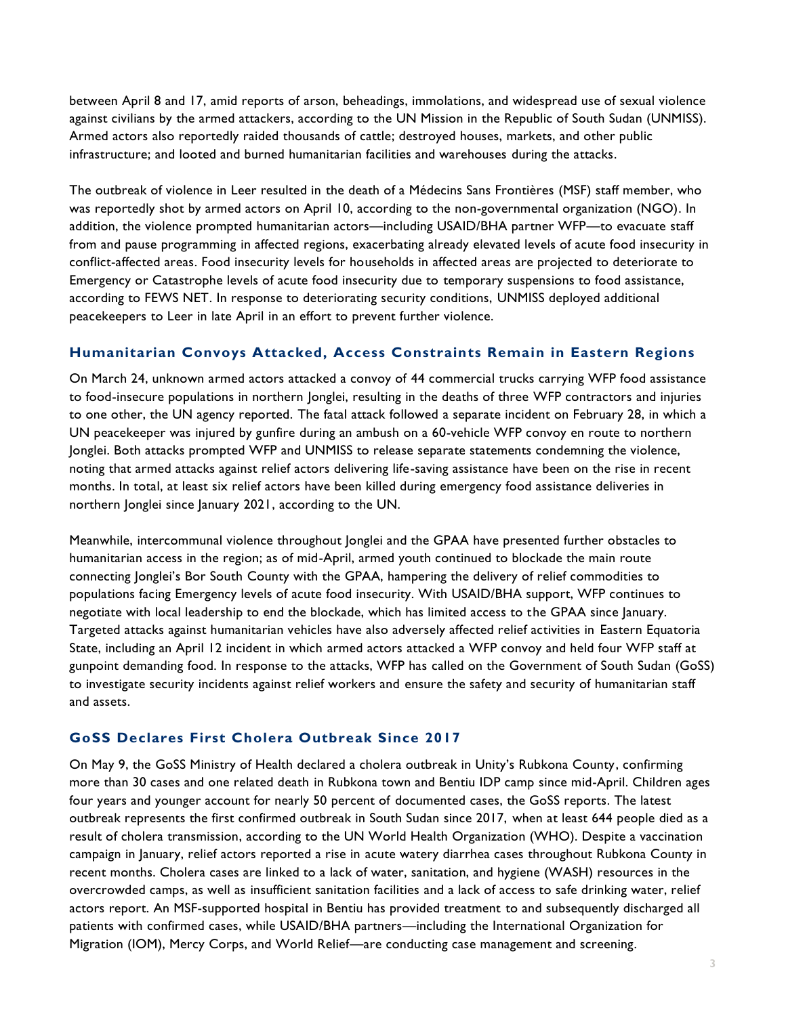between April 8 and 17, amid reports of arson, beheadings, immolations, and widespread use of sexual violence against civilians by the armed attackers, according to the UN Mission in the Republic of South Sudan (UNMISS). Armed actors also reportedly raided thousands of cattle; destroyed houses, markets, and other public infrastructure; and looted and burned humanitarian facilities and warehouses during the attacks.

The outbreak of violence in Leer resulted in the death of a Médecins Sans Frontières (MSF) staff member, who was reportedly shot by armed actors on April 10, according to the non-governmental organization (NGO). In addition, the violence prompted humanitarian actors—including USAID/BHA partner WFP—to evacuate staff from and pause programming in affected regions, exacerbating already elevated levels of acute food insecurity in conflict-affected areas. Food insecurity levels for households in affected areas are projected to deteriorate to Emergency or Catastrophe levels of acute food insecurity due to temporary suspensions to food assistance, according to FEWS NET. In response to deteriorating security conditions, UNMISS deployed additional peacekeepers to Leer in late April in an effort to prevent further violence.

# **Humanitarian Convoys Attacked, Access Constraints Remain in Eastern Regions**

On March 24, unknown armed actors attacked a convoy of 44 commercial trucks carrying WFP food assistance to food-insecure populations in northern Jonglei, resulting in the deaths of three WFP contractors and injuries to one other, the UN agency reported. The fatal attack followed a separate incident on February 28, in which a UN peacekeeper was injured by gunfire during an ambush on a 60-vehicle WFP convoy en route to northern Jonglei. Both attacks prompted WFP and UNMISS to release separate statements condemning the violence, noting that armed attacks against relief actors delivering life-saving assistance have been on the rise in recent months. In total, at least six relief actors have been killed during emergency food assistance deliveries in northern Jonglei since January 2021, according to the UN.

Meanwhile, intercommunal violence throughout Jonglei and the GPAA have presented further obstacles to humanitarian access in the region; as of mid-April, armed youth continued to blockade the main route connecting Jonglei's Bor South County with the GPAA, hampering the delivery of relief commodities to populations facing Emergency levels of acute food insecurity. With USAID/BHA support, WFP continues to negotiate with local leadership to end the blockade, which has limited access to the GPAA since January. Targeted attacks against humanitarian vehicles have also adversely affected relief activities in Eastern Equatoria State, including an April 12 incident in which armed actors attacked a WFP convoy and held four WFP staff at gunpoint demanding food. In response to the attacks, WFP has called on the Government of South Sudan (GoSS) to investigate security incidents against relief workers and ensure the safety and security of humanitarian staff and assets.

# **GoSS Declares First Cholera Outbreak Since 2017**

On May 9, the GoSS Ministry of Health declared a cholera outbreak in Unity's Rubkona County, confirming more than 30 cases and one related death in Rubkona town and Bentiu IDP camp since mid-April. Children ages four years and younger account for nearly 50 percent of documented cases, the GoSS reports. The latest outbreak represents the first confirmed outbreak in South Sudan since 2017, when at least 644 people died as a result of cholera transmission, according to the UN World Health Organization (WHO). Despite a vaccination campaign in January, relief actors reported a rise in acute watery diarrhea cases throughout Rubkona County in recent months. Cholera cases are linked to a lack of water, sanitation, and hygiene (WASH) resources in the overcrowded camps, as well as insufficient sanitation facilities and a lack of access to safe drinking water, relief actors report. An MSF-supported hospital in Bentiu has provided treatment to and subsequently discharged all patients with confirmed cases, while USAID/BHA partners—including the International Organization for Migration (IOM), Mercy Corps, and World Relief—are conducting case management and screening.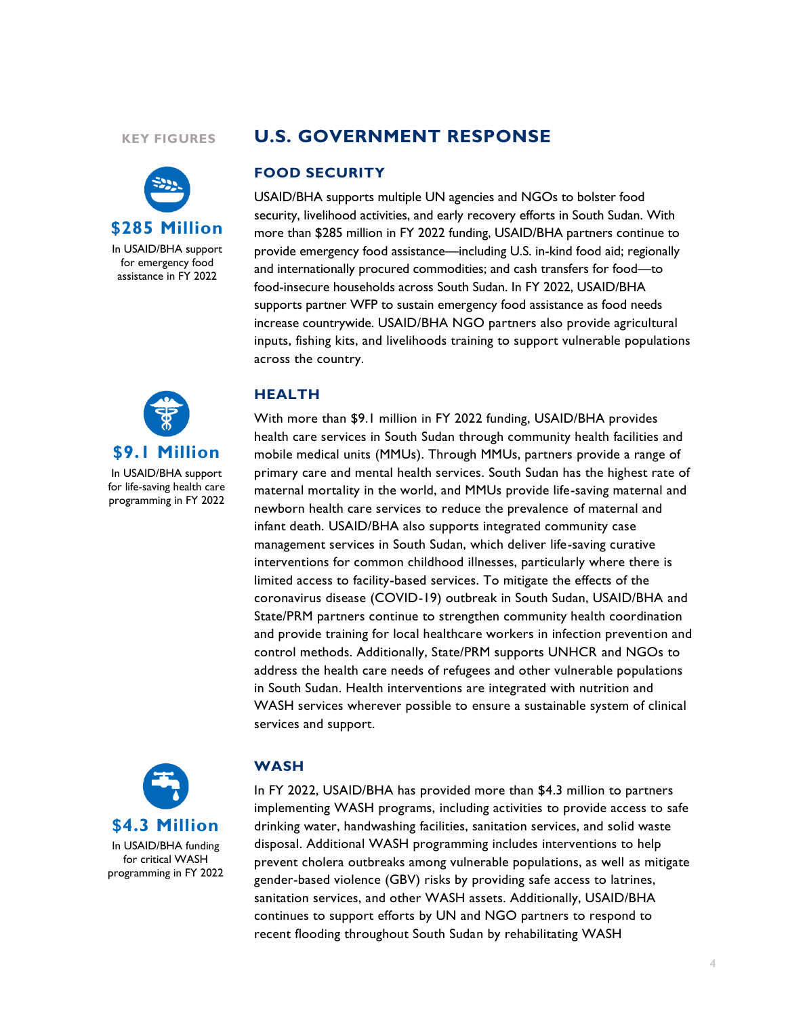#### **KEY FIGURES**



# **U.S. GOVERNMENT RESPONSE**

#### **FOOD SECURITY**

USAID/BHA supports multiple UN agencies and NGOs to bolster food security, livelihood activities, and early recovery efforts in South Sudan. With more than \$285 million in FY 2022 funding, USAID/BHA partners continue to provide emergency food assistance—including U.S. in-kind food aid; regionally and internationally procured commodities; and cash transfers for food—to food-insecure households across South Sudan. In FY 2022, USAID/BHA supports partner WFP to sustain emergency food assistance as food needs increase countrywide. USAID/BHA NGO partners also provide agricultural inputs, fishing kits, and livelihoods training to support vulnerable populations across the country.



In USAID/BHA support for life-saving health care programming in FY 2022

### **HEALTH**

With more than \$9.1 million in FY 2022 funding, USAID/BHA provides health care services in South Sudan through community health facilities and mobile medical units (MMUs). Through MMUs, partners provide a range of primary care and mental health services. South Sudan has the highest rate of maternal mortality in the world, and MMUs provide life-saving maternal and newborn health care services to reduce the prevalence of maternal and infant death. USAID/BHA also supports integrated community case management services in South Sudan, which deliver life-saving curative interventions for common childhood illnesses, particularly where there is limited access to facility-based services. To mitigate the effects of the coronavirus disease (COVID-19) outbreak in South Sudan, USAID/BHA and State/PRM partners continue to strengthen community health coordination and provide training for local healthcare workers in infection prevention and control methods. Additionally, State/PRM supports UNHCR and NGOs to address the health care needs of refugees and other vulnerable populations in South Sudan. Health interventions are integrated with nutrition and WASH services wherever possible to ensure a sustainable system of clinical services and support.



#### **WASH**

In FY 2022, USAID/BHA has provided more than \$4.3 million to partners implementing WASH programs, including activities to provide access to safe drinking water, handwashing facilities, sanitation services, and solid waste disposal. Additional WASH programming includes interventions to help prevent cholera outbreaks among vulnerable populations, as well as mitigate gender-based violence (GBV) risks by providing safe access to latrines, sanitation services, and other WASH assets. Additionally, USAID/BHA continues to support efforts by UN and NGO partners to respond to recent flooding throughout South Sudan by rehabilitating WASH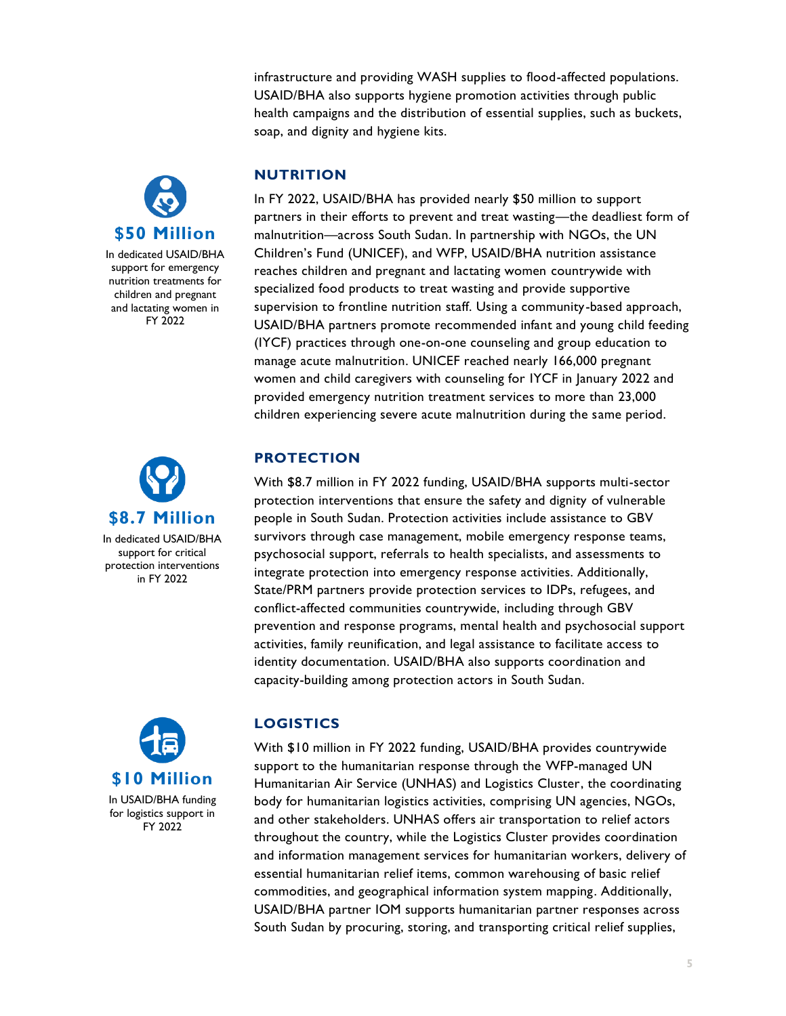infrastructure and providing WASH supplies to flood-affected populations. USAID/BHA also supports hygiene promotion activities through public health campaigns and the distribution of essential supplies, such as buckets, soap, and dignity and hygiene kits.



In dedicated USAID/BHA support for emergency nutrition treatments for children and pregnant and lactating women in FY 2022



In dedicated USAID/BHA support for critical protection interventions in FY 2022



# **NUTRITION**

In FY 2022, USAID/BHA has provided nearly \$50 million to support partners in their efforts to prevent and treat wasting—the deadliest form of malnutrition—across South Sudan. In partnership with NGOs, the UN Children's Fund (UNICEF), and WFP, USAID/BHA nutrition assistance reaches children and pregnant and lactating women countrywide with specialized food products to treat wasting and provide supportive supervision to frontline nutrition staff. Using a community-based approach, USAID/BHA partners promote recommended infant and young child feeding (IYCF) practices through one-on-one counseling and group education to manage acute malnutrition. UNICEF reached nearly 166,000 pregnant women and child caregivers with counseling for IYCF in January 2022 and provided emergency nutrition treatment services to more than 23,000 children experiencing severe acute malnutrition during the same period.

# **PROTECTION**

With \$8.7 million in FY 2022 funding, USAID/BHA supports multi-sector protection interventions that ensure the safety and dignity of vulnerable people in South Sudan. Protection activities include assistance to GBV survivors through case management, mobile emergency response teams, psychosocial support, referrals to health specialists, and assessments to integrate protection into emergency response activities. Additionally, State/PRM partners provide protection services to IDPs, refugees, and conflict-affected communities countrywide, including through GBV prevention and response programs, mental health and psychosocial support activities, family reunification, and legal assistance to facilitate access to identity documentation. USAID/BHA also supports coordination and capacity-building among protection actors in South Sudan.

# **LOGISTICS**

With \$10 million in FY 2022 funding, USAID/BHA provides countrywide support to the humanitarian response through the WFP-managed UN Humanitarian Air Service (UNHAS) and Logistics Cluster, the coordinating body for humanitarian logistics activities, comprising UN agencies, NGOs, and other stakeholders. UNHAS offers air transportation to relief actors throughout the country, while the Logistics Cluster provides coordination and information management services for humanitarian workers, delivery of essential humanitarian relief items, common warehousing of basic relief commodities, and geographical information system mapping. Additionally, USAID/BHA partner IOM supports humanitarian partner responses across South Sudan by procuring, storing, and transporting critical relief supplies,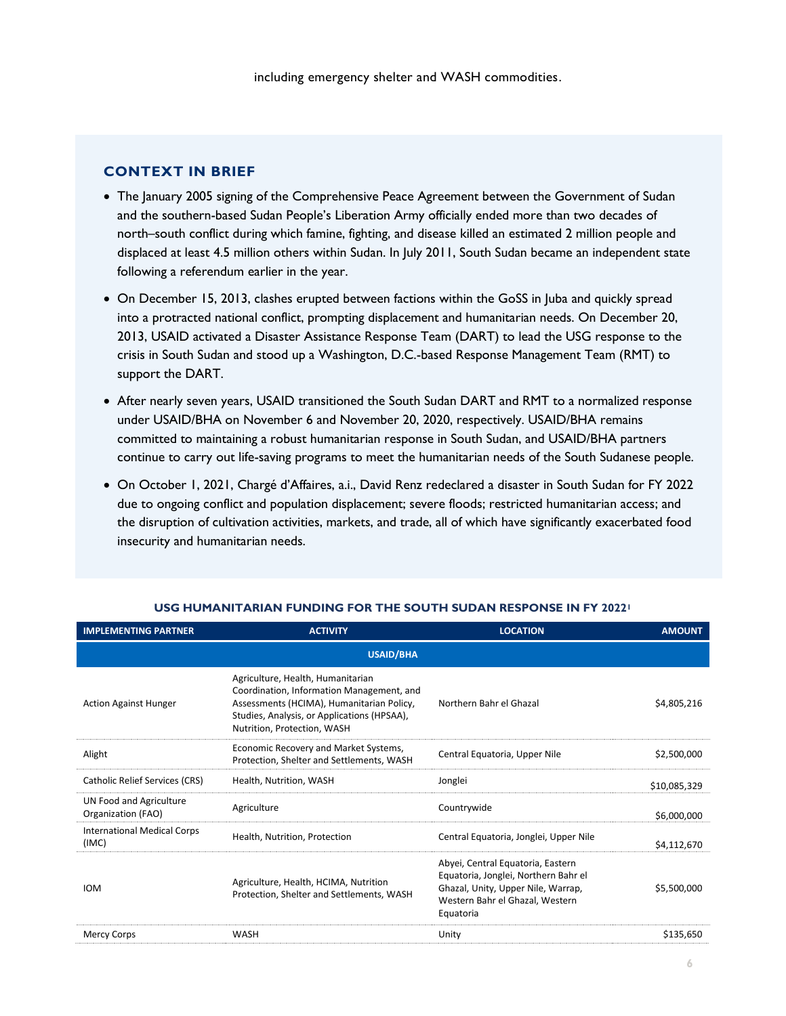## **CONTEXT IN BRIEF**

- The January 2005 signing of the Comprehensive Peace Agreement between the Government of Sudan and the southern-based Sudan People's Liberation Army officially ended more than two decades of north–south conflict during which famine, fighting, and disease killed an estimated 2 million people and displaced at least 4.5 million others within Sudan. In July 2011, South Sudan became an independent state following a referendum earlier in the year.
- On December 15, 2013, clashes erupted between factions within the GoSS in Juba and quickly spread into a protracted national conflict, prompting displacement and humanitarian needs. On December 20, 2013, USAID activated a Disaster Assistance Response Team (DART) to lead the USG response to the crisis in South Sudan and stood up a Washington, D.C.-based Response Management Team (RMT) to support the DART.
- After nearly seven years, USAID transitioned the South Sudan DART and RMT to a normalized response under USAID/BHA on November 6 and November 20, 2020, respectively. USAID/BHA remains committed to maintaining a robust humanitarian response in South Sudan, and USAID/BHA partners continue to carry out life-saving programs to meet the humanitarian needs of the South Sudanese people.
- On October 1, 2021, Chargé d'Affaires, a.i., David Renz redeclared a disaster in South Sudan for FY 2022 due to ongoing conflict and population displacement; severe floods; restricted humanitarian access; and the disruption of cultivation activities, markets, and trade, all of which have significantly exacerbated food insecurity and humanitarian needs.

| <b>IMPLEMENTING PARTNER</b>                   | <b>ACTIVITY</b>                                                                                                                                                                                           | <b>LOCATION</b>                                                                                                                                                 | <b>AMOUNT</b> |  |
|-----------------------------------------------|-----------------------------------------------------------------------------------------------------------------------------------------------------------------------------------------------------------|-----------------------------------------------------------------------------------------------------------------------------------------------------------------|---------------|--|
| <b>USAID/BHA</b>                              |                                                                                                                                                                                                           |                                                                                                                                                                 |               |  |
| <b>Action Against Hunger</b>                  | Agriculture, Health, Humanitarian<br>Coordination, Information Management, and<br>Assessments (HCIMA), Humanitarian Policy,<br>Studies, Analysis, or Applications (HPSAA),<br>Nutrition, Protection, WASH | Northern Bahr el Ghazal                                                                                                                                         | \$4,805,216   |  |
| Alight                                        | Economic Recovery and Market Systems,<br>Protection, Shelter and Settlements, WASH                                                                                                                        | Central Equatoria, Upper Nile                                                                                                                                   | \$2,500,000   |  |
| <b>Catholic Relief Services (CRS)</b>         | Health, Nutrition, WASH                                                                                                                                                                                   | Jonglei                                                                                                                                                         | \$10,085,329  |  |
| UN Food and Agriculture<br>Organization (FAO) | Agriculture                                                                                                                                                                                               | Countrywide                                                                                                                                                     | \$6,000,000   |  |
| <b>International Medical Corps</b><br>(IMC)   | Health, Nutrition, Protection                                                                                                                                                                             | Central Equatoria, Jonglei, Upper Nile                                                                                                                          | \$4,112,670   |  |
| <b>IOM</b>                                    | Agriculture, Health, HCIMA, Nutrition<br>Protection, Shelter and Settlements, WASH                                                                                                                        | Abyei, Central Equatoria, Eastern<br>Equatoria, Jonglei, Northern Bahr el<br>Ghazal, Unity, Upper Nile, Warrap,<br>Western Bahr el Ghazal, Western<br>Equatoria | \$5,500,000   |  |
| <b>Mercy Corps</b>                            | <b>WASH</b>                                                                                                                                                                                               | Unity                                                                                                                                                           | \$135,650     |  |

#### **USG HUMANITARIAN FUNDING FOR THE SOUTH SUDAN RESPONSE IN FY 2022<sup>1</sup>**